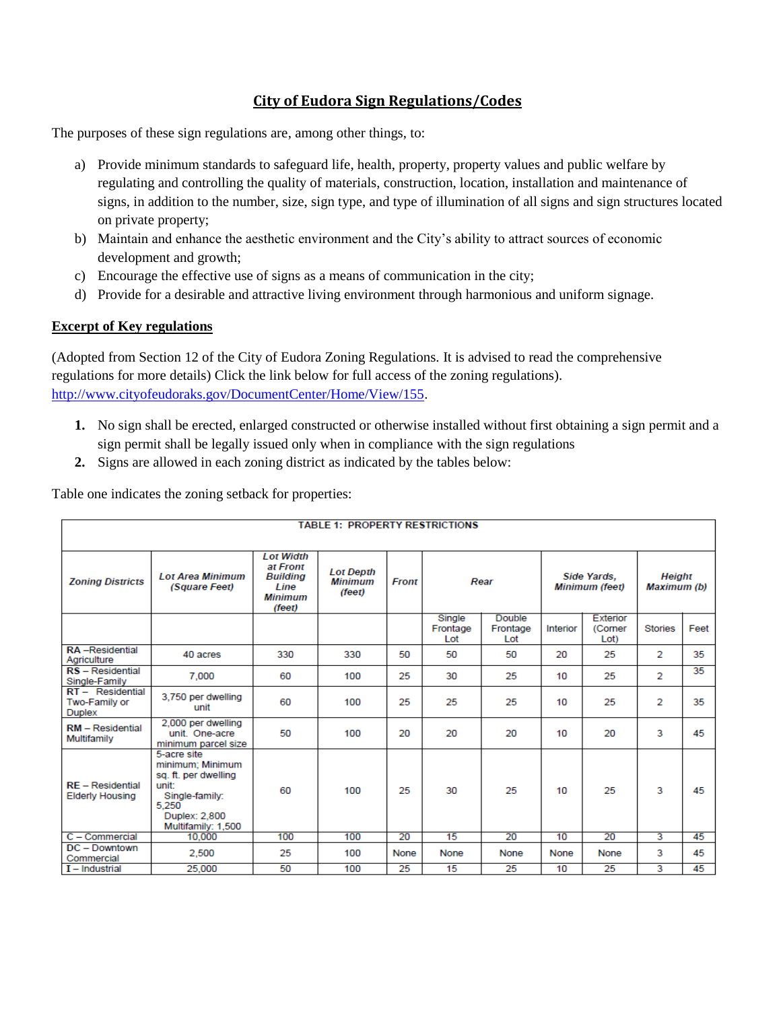# **City of Eudora Sign Regulations/Codes**

The purposes of these sign regulations are, among other things, to:

- a) Provide minimum standards to safeguard life, health, property, property values and public welfare by regulating and controlling the quality of materials, construction, location, installation and maintenance of signs, in addition to the number, size, sign type, and type of illumination of all signs and sign structures located on private property;
- b) Maintain and enhance the aesthetic environment and the City's ability to attract sources of economic development and growth;
- c) Encourage the effective use of signs as a means of communication in the city;
- d) Provide for a desirable and attractive living environment through harmonious and uniform signage.

#### **Excerpt of Key regulations**

(Adopted from Section 12 of the City of Eudora Zoning Regulations. It is advised to read the comprehensive regulations for more details) Click the link below for full access of the zoning regulations). [http://www.cityofeudoraks.gov/DocumentCenter/Home/View/155.](http://www.cityofeudoraks.gov/DocumentCenter/Home/View/155)

- **1.** No sign shall be erected, enlarged constructed or otherwise installed without first obtaining a sign permit and a sign permit shall be legally issued only when in compliance with the sign regulations
- **2.** Signs are allowed in each zoning district as indicated by the tables below:

Table one indicates the zoning setback for properties:

| <b>TABLE 1: PROPERTY RESTRICTIONS</b>              |                                                                                                                                    |                                                                       |                                       |              |                           |                                  |                                      |                             |                       |      |
|----------------------------------------------------|------------------------------------------------------------------------------------------------------------------------------------|-----------------------------------------------------------------------|---------------------------------------|--------------|---------------------------|----------------------------------|--------------------------------------|-----------------------------|-----------------------|------|
| <b>Zoning Districts</b>                            | <b>Lot Area Minimum</b><br>(Square Feet)                                                                                           | <b>Lot Width</b><br>at Front<br>Buildina<br>Line<br>Minimum<br>(feet) | <b>Lot Depth</b><br>Minimum<br>(feet) | <b>Front</b> | Rear                      |                                  | Side Yards,<br><b>Minimum (feet)</b> |                             | Height<br>Maximum (b) |      |
|                                                    |                                                                                                                                    |                                                                       |                                       |              | Single<br>Frontage<br>Lot | <b>Double</b><br>Frontage<br>Lot | Interior                             | Exterior<br>(Corner<br>Lot) | <b>Stories</b>        | Feet |
| RA-Residential<br>Agriculture                      | 40 acres                                                                                                                           | 330                                                                   | 330                                   | 50           | 50                        | 50                               | 20                                   | 25                          | $\overline{2}$        | 35   |
| <b>RS</b> - Residential<br>Single-Family           | 7.000                                                                                                                              | 60                                                                    | 100                                   | 25           | 30                        | 25                               | 10                                   | 25                          | $\overline{2}$        | 35   |
| RT - Residential<br>Two-Family or<br><b>Duplex</b> | 3.750 per dwelling<br>unit                                                                                                         | 60                                                                    | 100                                   | 25           | 25                        | 25                               | 10                                   | 25                          | $\overline{2}$        | 35   |
| <b>RM</b> - Residential<br><b>Multifamily</b>      | 2.000 per dwelling<br>unit. One-acre<br>minimum parcel size                                                                        | 50                                                                    | 100                                   | 20           | 20                        | 20                               | 10                                   | 20                          | 3                     | 45   |
| <b>RE</b> - Residential<br><b>Elderly Housing</b>  | 5-acre site<br>minimum: Minimum<br>sq. ft. per dwelling<br>unit:<br>Single-family:<br>5.250<br>Duplex: 2,800<br>Multifamily: 1,500 | 60                                                                    | 100                                   | 25           | 30                        | 25                               | 10                                   | 25                          | 3                     | 45   |
| C - Commercial                                     | 10,000                                                                                                                             | 100                                                                   | 100                                   | 20           | 15                        | 20                               | 10                                   | 20                          | 3                     | 45   |
| DC - Downtown<br>Commercial                        | 2,500                                                                                                                              | 25                                                                    | 100                                   | None         | <b>None</b>               | None                             | <b>None</b>                          | None                        | 3                     | 45   |
| $I$ – Industrial                                   | 25,000                                                                                                                             | 50                                                                    | 100                                   | 25           | 15                        | 25                               | 10                                   | 25                          | 3                     | 45   |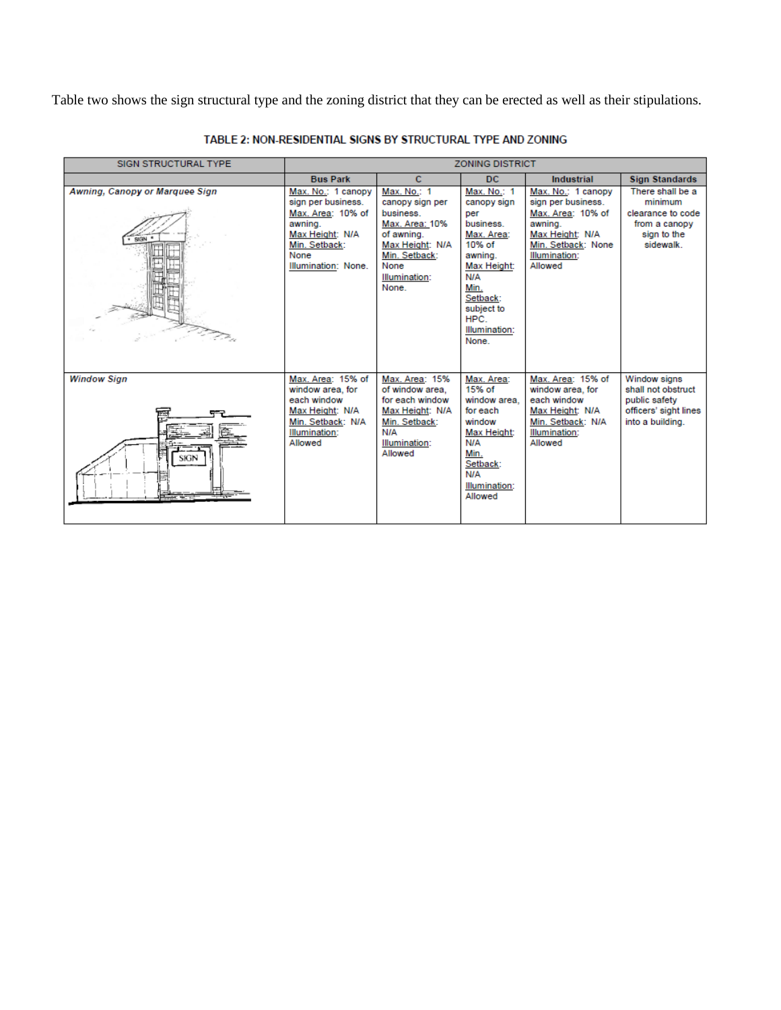Table two shows the sign structural type and the zoning district that they can be erected as well as their stipulations.

| <b>SIGN STRUCTURAL TYPE</b>                    | <b>ZONING DISTRICT</b>                                                                                                                      |                                                                                                                                                   |                                                                                                                                                                             |                                                                                                                                               |                                                                                                  |  |  |
|------------------------------------------------|---------------------------------------------------------------------------------------------------------------------------------------------|---------------------------------------------------------------------------------------------------------------------------------------------------|-----------------------------------------------------------------------------------------------------------------------------------------------------------------------------|-----------------------------------------------------------------------------------------------------------------------------------------------|--------------------------------------------------------------------------------------------------|--|--|
|                                                | <b>Bus Park</b>                                                                                                                             | с                                                                                                                                                 | DC.                                                                                                                                                                         | <b>Industrial</b>                                                                                                                             | <b>Sign Standards</b>                                                                            |  |  |
| Awning, Canopy or Marquee Sign<br>$*$ SIGN $*$ | Max. No.: 1 canopy<br>sign per business.<br>Max. Area: 10% of<br>awning.<br>Max Height: N/A<br>Min. Setback:<br>None<br>Illumination: None. | Max. No.: 1<br>canopy sign per<br>business.<br>Max. Area: 10%<br>of awning.<br>Max Height: N/A<br>Min. Setback:<br>None<br>Illumination:<br>None. | Max. No.: 1<br>canopy sign<br>per<br>business.<br>Max. Area:<br>10% of<br>awning.<br>Max Height:<br>N/A<br>Min.<br>Setback:<br>subject to<br>HPC.<br>Illumination:<br>None. | Max. No.: 1 canopy<br>sign per business.<br>Max. Area: 10% of<br>awning.<br>Max Height: N/A<br>Min. Setback: None<br>Illumination:<br>Allowed | There shall be a<br>minimum<br>clearance to code<br>from a canopy<br>sign to the<br>sidewalk.    |  |  |
| <b>Window Sign</b><br>SIGN                     | Max. Area: 15% of<br>window area, for<br>each window<br>Max Height: N/A<br>Min. Setback: N/A<br>Illumination:<br>Allowed                    | Max. Area: 15%<br>of window area.<br>for each window<br>Max Height: N/A<br>Min. Setback:<br>N/A<br>Illumination:<br>Allowed                       | Max. Area:<br>15% of<br>window area.<br>for each<br>window<br>Max Height:<br>N/A<br>Min.<br>Setback:<br>N/A<br>Illumination:<br>Allowed                                     | Max. Area: 15% of<br>window area, for<br>each window<br>Max Height: N/A<br>Min. Setback: N/A<br>Illumination:<br>Allowed                      | Window signs<br>shall not obstruct<br>public safety<br>officers' sight lines<br>into a building. |  |  |

TABLE 2: NON-RESIDENTIAL SIGNS BY STRUCTURAL TYPE AND ZONING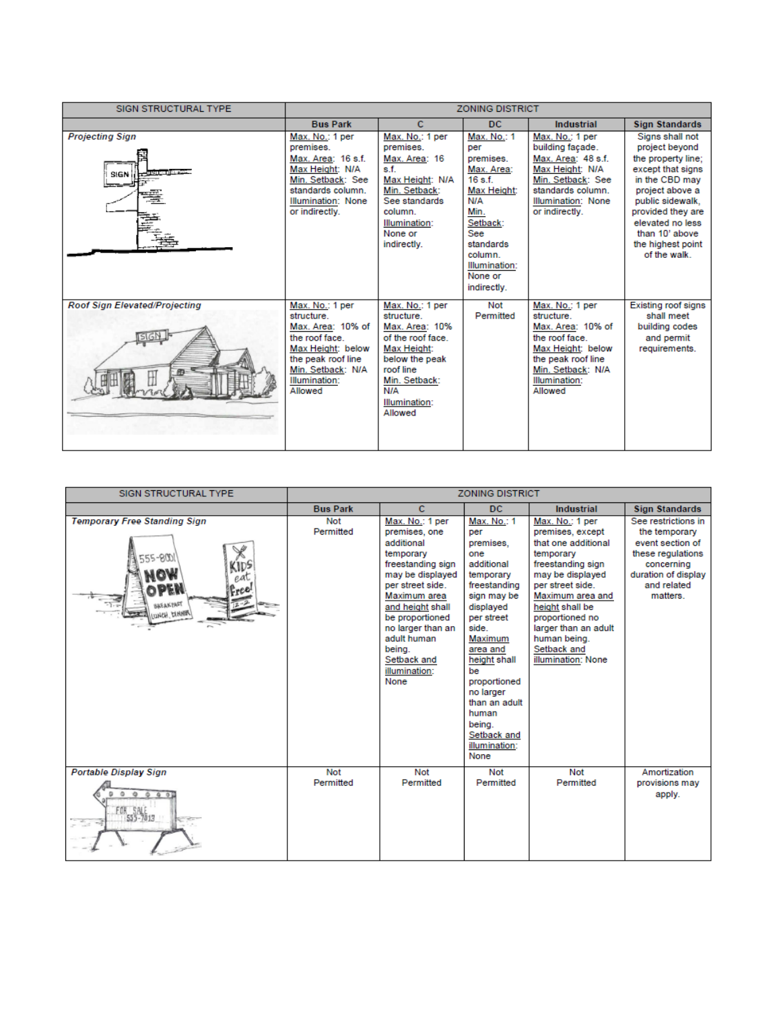| <b>SIGN STRUCTURAL TYPE</b>                     | <b>ZONING DISTRICT</b>                                                                                                                                           |                                                                                                                                                                        |                                                                                                                                                                                     |                                                                                                                                                                       |                                                                                                                                                                                                                                        |  |  |  |
|-------------------------------------------------|------------------------------------------------------------------------------------------------------------------------------------------------------------------|------------------------------------------------------------------------------------------------------------------------------------------------------------------------|-------------------------------------------------------------------------------------------------------------------------------------------------------------------------------------|-----------------------------------------------------------------------------------------------------------------------------------------------------------------------|----------------------------------------------------------------------------------------------------------------------------------------------------------------------------------------------------------------------------------------|--|--|--|
|                                                 | <b>Bus Park</b>                                                                                                                                                  | c                                                                                                                                                                      | <b>DC</b>                                                                                                                                                                           | <b>Industrial</b>                                                                                                                                                     | <b>Sign Standards</b>                                                                                                                                                                                                                  |  |  |  |
| <b>Projecting Sign</b><br>SIGN FRANCULTURE<br>₩ | Max. No.: 1 per<br>premises.<br>Max. Area: 16 s.f.<br>Max Height: N/A<br>Min. Setback: See<br>standards column.<br><b>Illumination: None</b><br>or indirectly.   | Max. No.: 1 per<br>premises.<br>Max. Area: 16<br>s.f.<br>Max Height: N/A<br>Min. Setback:<br>See standards<br>column.<br>Illumination:<br>None or<br>indirectly.       | Max. No.: 1<br>per<br>premises.<br>Max. Area:<br>16 s.f.<br>Max Height:<br><b>N/A</b><br>Min.<br>Setback:<br>See<br>standards<br>column.<br>Illumination:<br>None or<br>indirectly. | Max. No.: 1 per<br>building façade.<br>Max. Area: 48 s.f.<br>Max Height: N/A<br>Min. Setback: See<br>standards column.<br><b>Illumination: None</b><br>or indirectly. | Signs shall not<br>project beyond<br>the property line:<br>except that signs<br>in the CBD may<br>project above a<br>public sidewalk.<br>provided they are<br>elevated no less.<br>than 10' above<br>the highest point<br>of the walk. |  |  |  |
| <b>Roof Sign Elevated/Projecting</b><br>FFI     | Max. No.: 1 per<br>structure.<br>Max. Area: 10% of<br>the roof face.<br>Max Height: below<br>the peak roof line<br>Min. Setback: N/A<br>Illumination:<br>Allowed | Max. No.: 1 per<br>structure.<br>Max. Area: 10%<br>of the roof face.<br>Max Height:<br>below the peak<br>roof line<br>Min. Setback:<br>N/A<br>Illumination:<br>Allowed | Not<br>Permitted                                                                                                                                                                    | Max. No.: 1 per<br>structure.<br>Max. Area: 10% of<br>the roof face.<br>Max Height: below<br>the peak roof line<br>Min. Setback: N/A<br>Illumination:<br>Allowed      | <b>Existing roof signs</b><br>shall meet<br>building codes<br>and permit<br>requirements.                                                                                                                                              |  |  |  |

| <b>SIGN STRUCTURAL TYPE</b>                                                                  | <b>ZONING DISTRICT</b>  |                                                                                                                                                                                                                                                                       |                                                                                                                                                                                                                                                                                            |                                                                                                                                                                                                                                                                             |                                                                                                                                               |  |  |  |  |
|----------------------------------------------------------------------------------------------|-------------------------|-----------------------------------------------------------------------------------------------------------------------------------------------------------------------------------------------------------------------------------------------------------------------|--------------------------------------------------------------------------------------------------------------------------------------------------------------------------------------------------------------------------------------------------------------------------------------------|-----------------------------------------------------------------------------------------------------------------------------------------------------------------------------------------------------------------------------------------------------------------------------|-----------------------------------------------------------------------------------------------------------------------------------------------|--|--|--|--|
|                                                                                              | <b>Bus Park</b>         | c                                                                                                                                                                                                                                                                     | DC.                                                                                                                                                                                                                                                                                        | <b>Industrial</b>                                                                                                                                                                                                                                                           | <b>Sign Standards</b>                                                                                                                         |  |  |  |  |
| <b>Temporary Free Standing Sign</b><br>$55 - 80$<br>pai<br>Eree<br>BREAKPAST<br>UNCH. CINNER | Not<br>Permitted        | Max. No.: 1 per<br>premises, one<br>additional<br>temporary<br>freestanding sign<br>may be displayed<br>per street side.<br>Maximum area<br>and height shall<br>be proportioned<br>no larger than an<br>adult human<br>being.<br>Setback and<br>illumination:<br>None | Max. No.: 1<br>per<br>premises.<br>one<br>additional<br>temporary<br>freestanding<br>sign may be<br>displayed<br>per street<br>side.<br>Maximum<br>area and<br>height shall<br>be<br>proportioned<br>no larger<br>than an adult<br>human<br>being.<br>Setback and<br>illumination:<br>None | Max. No.: 1 per<br>premises, except<br>that one additional<br>temporary<br>freestanding sign<br>may be displayed<br>per street side.<br>Maximum area and<br>height shall be<br>proportioned no<br>larger than an adult<br>human being.<br>Setback and<br>illumination: None | See restrictions in<br>the temporary<br>event section of<br>these regulations<br>concerning<br>duration of display<br>and related<br>matters. |  |  |  |  |
| <b>Portable Display Sign</b><br>0 0 0 0<br>۰<br>FOR SALE<br>555-7013<br>53                   | <b>Not</b><br>Permitted | <b>Not</b><br>Permitted                                                                                                                                                                                                                                               | Not<br>Permitted                                                                                                                                                                                                                                                                           | <b>Not</b><br>Permitted                                                                                                                                                                                                                                                     | Amortization<br>provisions may<br>apply.                                                                                                      |  |  |  |  |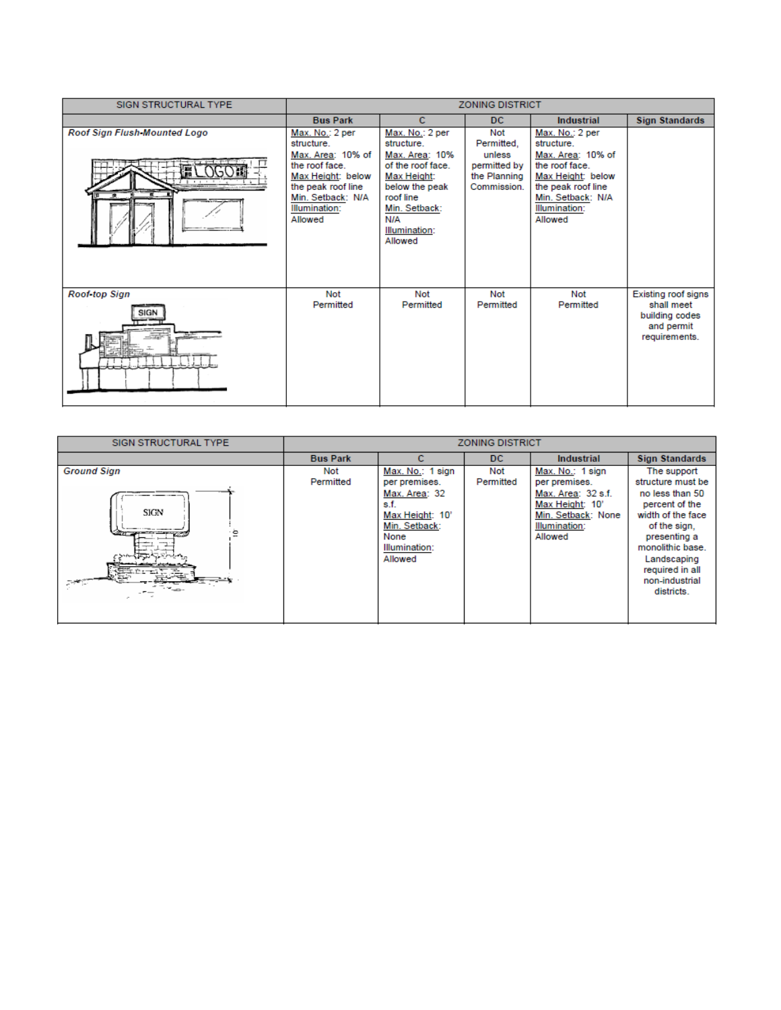| SIGN STRUCTURAL TYPE              | <b>ZONING DISTRICT</b>                                                                                                                                                  |                                                                                                                                                                        |                                                                            |                                                                                                                                                                  |                                                                                    |  |  |  |  |
|-----------------------------------|-------------------------------------------------------------------------------------------------------------------------------------------------------------------------|------------------------------------------------------------------------------------------------------------------------------------------------------------------------|----------------------------------------------------------------------------|------------------------------------------------------------------------------------------------------------------------------------------------------------------|------------------------------------------------------------------------------------|--|--|--|--|
|                                   | <b>Bus Park</b>                                                                                                                                                         | c                                                                                                                                                                      | DC.                                                                        | Industrial                                                                                                                                                       | <b>Sign Standards</b>                                                              |  |  |  |  |
| Roof Sign Flush-Mounted Logo<br>. | Max. No.: 2 per<br>structure.<br>Max. Area: 10% of<br>the roof face.<br>Max Height: below<br>the peak roof line<br>Min. Setback: N/A<br><b>Illumination:</b><br>Allowed | Max. No.: 2 per<br>structure.<br>Max. Area: 10%<br>of the roof face.<br>Max Height:<br>below the peak<br>roof line<br>Min. Setback:<br>N/A<br>Illumination:<br>Allowed | Not<br>Permitted,<br>unless<br>permitted by<br>the Planning<br>Commission. | Max. No.: 2 per<br>structure.<br>Max. Area: 10% of<br>the roof face.<br>Max Height: below<br>the peak roof line<br>Min. Setback: N/A<br>Illumination:<br>Allowed |                                                                                    |  |  |  |  |
| <b>Roof-top Sign</b><br>SIGN      | Not<br>Permitted                                                                                                                                                        | Not<br>Permitted                                                                                                                                                       | Not<br>Permitted                                                           | Not<br>Permitted                                                                                                                                                 | Existing roof signs<br>shall meet<br>building codes<br>and permit<br>requirements. |  |  |  |  |

| SIGN STRUCTURAL TYPE                | <b>ZONING DISTRICT</b> |                                                                                                                                    |                  |                                                                                                                              |                                                                                                                                                                                                                  |  |  |  |  |
|-------------------------------------|------------------------|------------------------------------------------------------------------------------------------------------------------------------|------------------|------------------------------------------------------------------------------------------------------------------------------|------------------------------------------------------------------------------------------------------------------------------------------------------------------------------------------------------------------|--|--|--|--|
|                                     | <b>Bus Park</b>        |                                                                                                                                    | DC.              | <b>Industrial</b>                                                                                                            | <b>Sign Standards</b>                                                                                                                                                                                            |  |  |  |  |
| <b>Ground Sign</b><br>SIGN<br>シャイエス | Not<br>Permitted       | Max. No.: 1 sign<br>per premises.<br>Max. Area: 32<br>s.f.<br>Max Height: 10'<br>Min. Setback:<br>None<br>Illumination:<br>Allowed | Not<br>Permitted | Max. No.: 1 sign<br>per premises.<br>Max. Area: 32 s.f.<br>Max Height: 10'<br>Min. Setback: None<br>Illumination:<br>Allowed | The support<br>structure must be<br>no less than 50<br>percent of the<br>width of the face<br>of the sign,<br>presenting a<br>monolithic base.<br>Landscaping<br>required in all<br>non-industrial<br>districts. |  |  |  |  |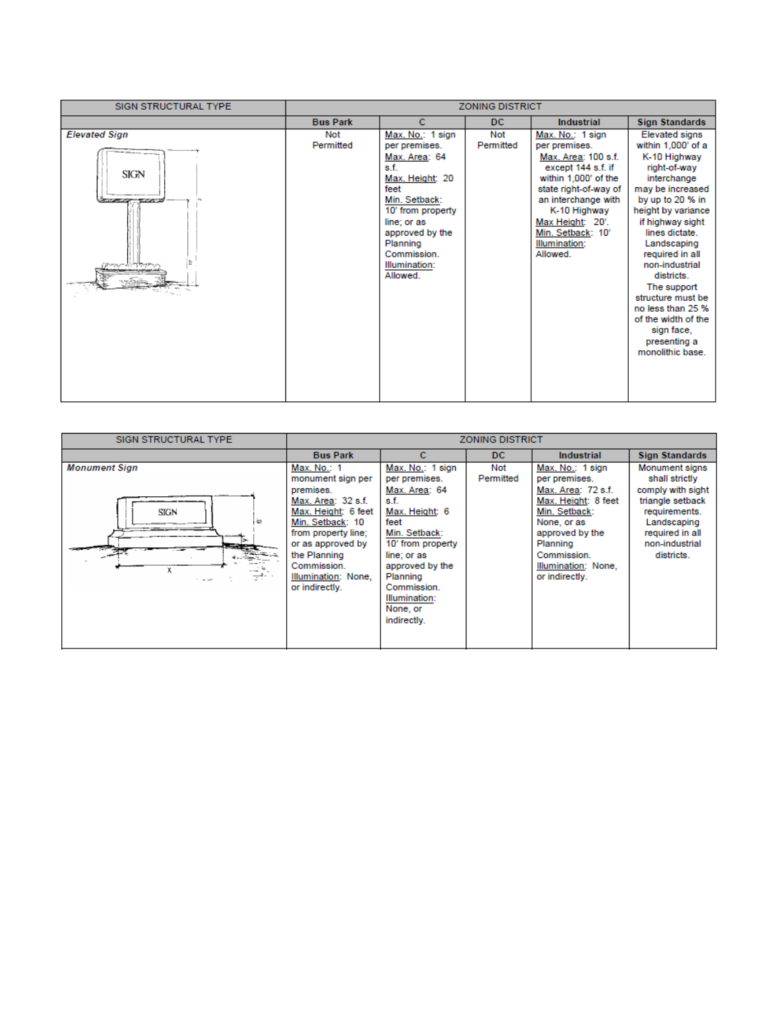| SIGN STRUCTURAL TYPE         | <b>ZONING DISTRICT</b> |                                                                                                                                                                                                                       |                  |                                                                                                                                                                                                                                              |                                                                                                                                                                                                                                                                                                                                                                                                    |  |  |  |
|------------------------------|------------------------|-----------------------------------------------------------------------------------------------------------------------------------------------------------------------------------------------------------------------|------------------|----------------------------------------------------------------------------------------------------------------------------------------------------------------------------------------------------------------------------------------------|----------------------------------------------------------------------------------------------------------------------------------------------------------------------------------------------------------------------------------------------------------------------------------------------------------------------------------------------------------------------------------------------------|--|--|--|
|                              | <b>Bus Park</b>        | с                                                                                                                                                                                                                     | <b>DC</b>        | Industrial                                                                                                                                                                                                                                   | <b>Sign Standards</b>                                                                                                                                                                                                                                                                                                                                                                              |  |  |  |
| <b>Elevated Sign</b><br>SIGN | Not<br>Permitted       | Max. No.: 1 sign<br>per premises.<br>Max. Area: 64<br>s.f.<br>Max. Height: 20<br>feet<br>Min. Setback:<br>10' from property<br>line; or as<br>approved by the<br>Planning<br>Commission.<br>Illumination:<br>Allowed. | Not<br>Permitted | Max. No.: 1 sign<br>per premises.<br>Max. Area: 100 s.f.<br>except 144 s.f. if<br>within 1,000' of the<br>state right-of-way of<br>an interchange with<br>K-10 Highway<br>Max Height: 20'.<br>Min. Setback: 10'<br>Illumination:<br>Allowed. | <b>Elevated signs</b><br>within 1,000' of a<br>K-10 Highway<br>right-of-way<br>interchange<br>may be increased<br>by up to 20 % in<br>height by variance<br>if highway sight<br>lines dictate.<br>Landscaping<br>required in all<br>non-industrial<br>districts.<br>The support<br>structure must be<br>no less than 25 %<br>of the width of the<br>sign face,<br>presenting a<br>monolithic base. |  |  |  |

| SIGN STRUCTURAL TYPE                             | <b>ZONING DISTRICT</b>                                                                                                                                                                                                             |                                                                                                                                                                                                                                     |                  |                                                                                                                                                                                                       |                                                                                                                                                              |  |  |  |
|--------------------------------------------------|------------------------------------------------------------------------------------------------------------------------------------------------------------------------------------------------------------------------------------|-------------------------------------------------------------------------------------------------------------------------------------------------------------------------------------------------------------------------------------|------------------|-------------------------------------------------------------------------------------------------------------------------------------------------------------------------------------------------------|--------------------------------------------------------------------------------------------------------------------------------------------------------------|--|--|--|
|                                                  | <b>Bus Park</b>                                                                                                                                                                                                                    |                                                                                                                                                                                                                                     | DC.              | Industrial                                                                                                                                                                                            | <b>Sign Standards</b>                                                                                                                                        |  |  |  |
| <b>Monument Sign</b><br><b>SIGN</b><br>āà<br>-2- | Max. No.: 1<br>monument sign per<br>premises.<br>Max. Area: 32 s.f.<br>Max. Height: 6 feet<br>Min. Setback: 10<br>from property line;<br>or as approved by<br>the Planning<br>Commission.<br>Illumination: None,<br>or indirectly. | Max. No.: 1 sign<br>per premises.<br>Max. Area: 64<br>s.f.<br>Max. Height: 6<br>feet<br>Min. Setback:<br>10' from property<br>line; or as<br>approved by the<br>Planning<br>Commission.<br>Illumination:<br>None, or<br>indirectly. | Not<br>Permitted | Max. No.: 1 sign<br>per premises.<br>Max. Area: 72 s.f.<br>Max. Height: 8 feet<br>Min. Setback:<br>None, or as<br>approved by the<br>Planning<br>Commission.<br>Illumination: None,<br>or indirectly. | Monument signs<br>shall strictly<br>comply with sight<br>triangle setback<br>requirements.<br>Landscaping<br>required in all<br>non-industrial<br>districts. |  |  |  |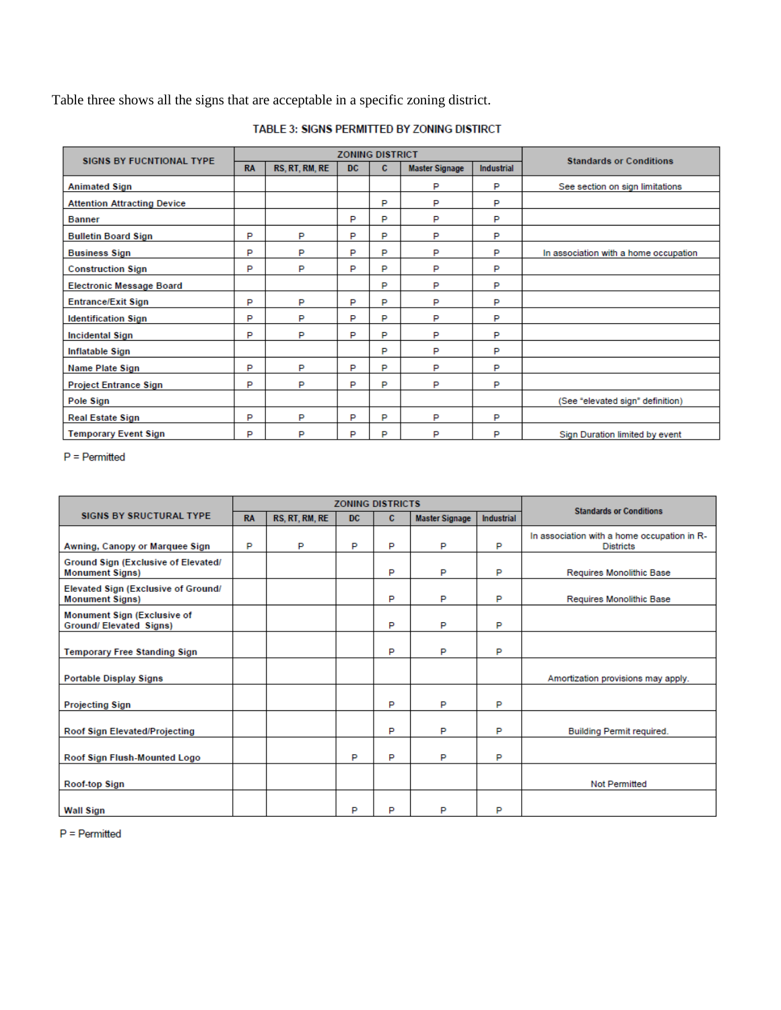Table three shows all the signs that are acceptable in a specific zoning district.

| <b>SIGNS BY FUCNTIONAL TYPE</b>    |           |                | <b>ZONING DISTRICT</b> |   | <b>Standards or Conditions</b> |                   |                                       |
|------------------------------------|-----------|----------------|------------------------|---|--------------------------------|-------------------|---------------------------------------|
|                                    | <b>RA</b> | RS, RT, RM, RE | <b>DC</b>              | C | <b>Master Signage</b>          | <b>Industrial</b> |                                       |
| <b>Animated Sign</b>               |           |                |                        |   | P                              | P                 | See section on sign limitations       |
| <b>Attention Attracting Device</b> |           |                |                        | P | P                              | P                 |                                       |
| <b>Banner</b>                      |           |                | P                      | P | P                              | P                 |                                       |
| <b>Bulletin Board Sign</b>         | P         | P              | P                      | P | P                              | P                 |                                       |
| <b>Business Sign</b>               | P         | P              | P                      | P | P                              | P                 | In association with a home occupation |
| <b>Construction Sign</b>           | P         | P              | P                      | P | P                              | P                 |                                       |
| <b>Electronic Message Board</b>    |           |                |                        | P | P                              | P                 |                                       |
| <b>Entrance/Exit Sign</b>          | P         | P              | P                      | P | P                              | P                 |                                       |
| <b>Identification Sign</b>         | P         | P              | P                      | P | P                              | P                 |                                       |
| <b>Incidental Sign</b>             | P         | P              | P                      | P | P                              | P                 |                                       |
| Inflatable Sign                    |           |                |                        | P | P                              | P                 |                                       |
| <b>Name Plate Sign</b>             | P         | P              | P                      | P | P                              | P                 |                                       |
| <b>Project Entrance Sign</b>       | P         | P              | P                      | P | P                              | P                 |                                       |
| Pole Sign                          |           |                |                        |   |                                |                   | (See "elevated sign" definition)      |
| <b>Real Estate Sign</b>            | P         | P              | P                      | P | P                              | P                 |                                       |
| <b>Temporary Event Sign</b>        | P         | P              | P                      | P | P                              | P                 | Sign Duration limited by event        |

### TABLE 3: SIGNS PERMITTED BY ZONING DISTIRCT

 $P = Permitted$ 

| <b>ZONING DISTRICTS</b>                                       |           |                |           |              |                       |                   | <b>Standards or Conditions</b>                                  |
|---------------------------------------------------------------|-----------|----------------|-----------|--------------|-----------------------|-------------------|-----------------------------------------------------------------|
| <b>SIGNS BY SRUCTURAL TYPE</b>                                | <b>RA</b> | RS, RT, RM, RE | <b>DC</b> | $\mathbf{C}$ | <b>Master Signage</b> | <b>Industrial</b> |                                                                 |
| Awning, Canopy or Marquee Sign                                | P         | P              | P         | P            | P                     | P                 | In association with a home occupation in R-<br><b>Districts</b> |
| Ground Sign (Exclusive of Elevated/<br><b>Monument Signs)</b> |           |                |           | P            | P                     | P                 | Requires Monolithic Base                                        |
| Elevated Sign (Exclusive of Ground/<br><b>Monument Signs)</b> |           |                |           | P            | P                     | P                 | Requires Monolithic Base                                        |
| <b>Monument Sign (Exclusive of</b><br>Ground/Elevated Signs)  |           |                |           | P            | P                     | P                 |                                                                 |
| <b>Temporary Free Standing Sign</b>                           |           |                |           | P            | P                     | P                 |                                                                 |
| <b>Portable Display Signs</b>                                 |           |                |           |              |                       |                   | Amortization provisions may apply.                              |
| <b>Projecting Sign</b>                                        |           |                |           | P            | P                     | P                 |                                                                 |
| <b>Roof Sign Elevated/Projecting</b>                          |           |                |           | P            | P                     | P                 | Building Permit required.                                       |
| Roof Sign Flush-Mounted Logo                                  |           |                | P         | P            | P                     | P                 |                                                                 |
| Roof-top Sign                                                 |           |                |           |              |                       |                   | <b>Not Permitted</b>                                            |
| <b>Wall Sign</b>                                              |           |                | P         | P            | P                     | P                 |                                                                 |

 $P = Permitted$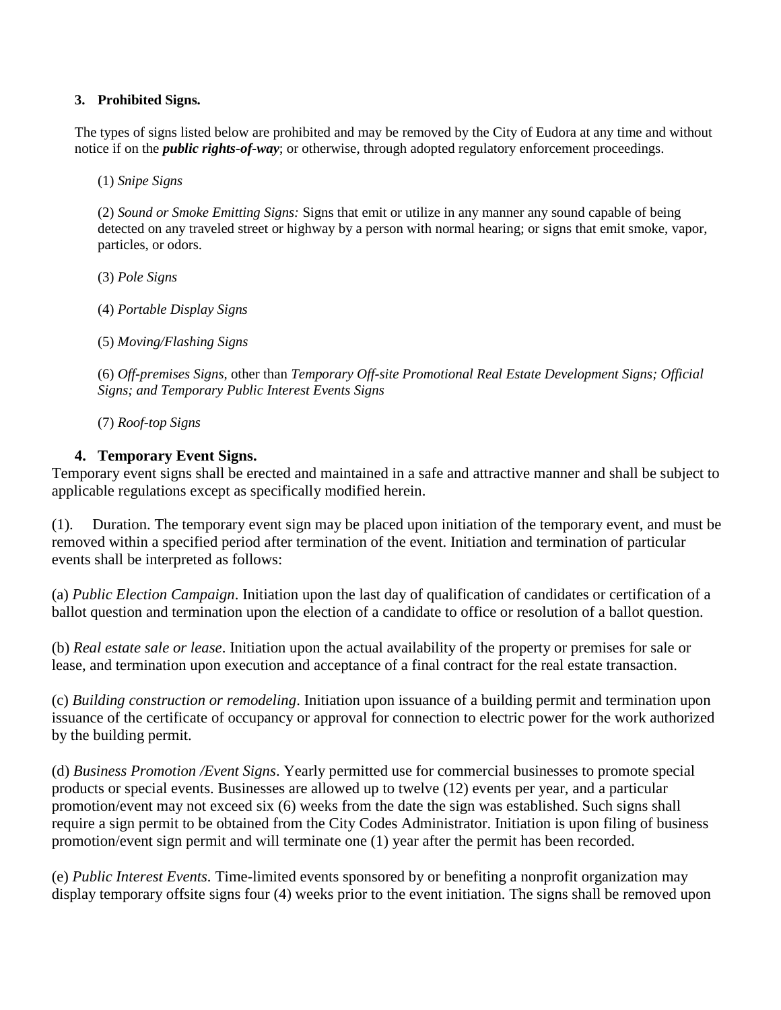### **3. Prohibited Signs.**

The types of signs listed below are prohibited and may be removed by the City of Eudora at any time and without notice if on the *public rights-of-way*; or otherwise, through adopted regulatory enforcement proceedings.

(1) *Snipe Signs* 

(2) *Sound or Smoke Emitting Signs:* Signs that emit or utilize in any manner any sound capable of being detected on any traveled street or highway by a person with normal hearing; or signs that emit smoke, vapor, particles, or odors.

(3) *Pole Signs* 

(4) *Portable Display Signs* 

(5) *Moving/Flashing Signs* 

(6) *Off-premises Signs,* other than *Temporary Off-site Promotional Real Estate Development Signs; Official Signs; and Temporary Public Interest Events Signs* 

(7) *Roof-top Signs*

### **4. Temporary Event Signs.**

Temporary event signs shall be erected and maintained in a safe and attractive manner and shall be subject to applicable regulations except as specifically modified herein.

(1). Duration. The temporary event sign may be placed upon initiation of the temporary event, and must be removed within a specified period after termination of the event. Initiation and termination of particular events shall be interpreted as follows:

(a) *Public Election Campaign*. Initiation upon the last day of qualification of candidates or certification of a ballot question and termination upon the election of a candidate to office or resolution of a ballot question.

(b) *Real estate sale or lease*. Initiation upon the actual availability of the property or premises for sale or lease, and termination upon execution and acceptance of a final contract for the real estate transaction.

(c) *Building construction or remodeling*. Initiation upon issuance of a building permit and termination upon issuance of the certificate of occupancy or approval for connection to electric power for the work authorized by the building permit.

(d) *Business Promotion /Event Signs*. Yearly permitted use for commercial businesses to promote special products or special events. Businesses are allowed up to twelve (12) events per year, and a particular promotion/event may not exceed six (6) weeks from the date the sign was established. Such signs shall require a sign permit to be obtained from the City Codes Administrator. Initiation is upon filing of business promotion/event sign permit and will terminate one (1) year after the permit has been recorded.

(e) *Public Interest Events.* Time-limited events sponsored by or benefiting a nonprofit organization may display temporary offsite signs four (4) weeks prior to the event initiation. The signs shall be removed upon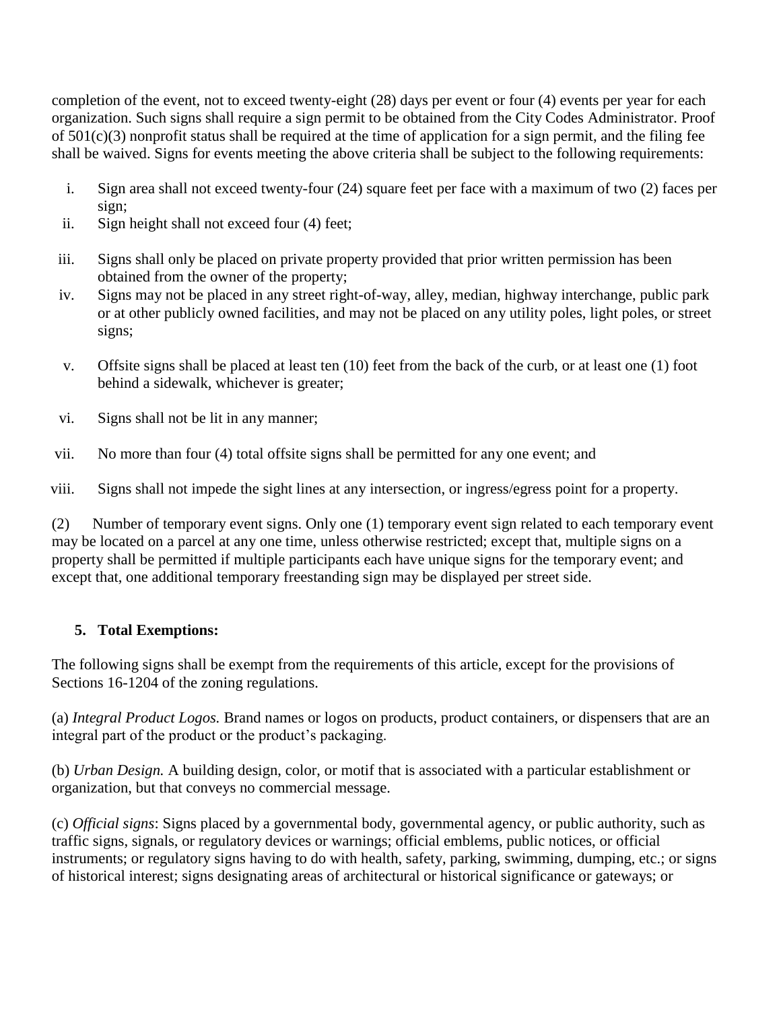completion of the event, not to exceed twenty-eight (28) days per event or four (4) events per year for each organization. Such signs shall require a sign permit to be obtained from the City Codes Administrator. Proof of  $501(c)(3)$  nonprofit status shall be required at the time of application for a sign permit, and the filing fee shall be waived. Signs for events meeting the above criteria shall be subject to the following requirements:

- i. Sign area shall not exceed twenty-four (24) square feet per face with a maximum of two (2) faces per sign;
- ii. Sign height shall not exceed four (4) feet;
- iii. Signs shall only be placed on private property provided that prior written permission has been obtained from the owner of the property;
- iv. Signs may not be placed in any street right-of-way, alley, median, highway interchange, public park or at other publicly owned facilities, and may not be placed on any utility poles, light poles, or street signs;
- v. Offsite signs shall be placed at least ten (10) feet from the back of the curb, or at least one (1) foot behind a sidewalk, whichever is greater;
- vi. Signs shall not be lit in any manner;
- vii. No more than four (4) total offsite signs shall be permitted for any one event; and

viii. Signs shall not impede the sight lines at any intersection, or ingress/egress point for a property.

(2) Number of temporary event signs. Only one (1) temporary event sign related to each temporary event may be located on a parcel at any one time, unless otherwise restricted; except that, multiple signs on a property shall be permitted if multiple participants each have unique signs for the temporary event; and except that, one additional temporary freestanding sign may be displayed per street side.

# **5. Total Exemptions:**

The following signs shall be exempt from the requirements of this article, except for the provisions of Sections 16-1204 of the zoning regulations.

(a) *Integral Product Logos.* Brand names or logos on products, product containers, or dispensers that are an integral part of the product or the product's packaging.

(b) *Urban Design.* A building design, color, or motif that is associated with a particular establishment or organization, but that conveys no commercial message.

(c) *Official signs*: Signs placed by a governmental body, governmental agency, or public authority, such as traffic signs, signals, or regulatory devices or warnings; official emblems, public notices, or official instruments; or regulatory signs having to do with health, safety, parking, swimming, dumping, etc.; or signs of historical interest; signs designating areas of architectural or historical significance or gateways; or